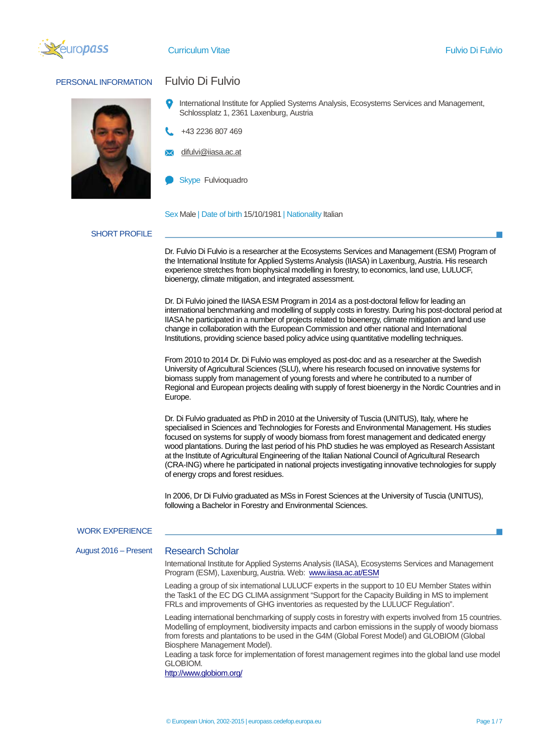

## PERSONAL INFORMATION Fulvio Di Fulvio



- International Institute for Applied Systems Analysis, Ecosystems Services and Management, Schlossplatz 1, 2361 Laxenburg, Austria
- +43 2236 807 469
- difulvi@iiasa.ac.at
- Skype Fulvioquadro

Sex Male | Date of birth 15/10/1981 | Nationality Italian

### SHORT PROFILE

Dr. Fulvio Di Fulvio is a researcher at the Ecosystems Services and Management (ESM) Program of the International Institute for Applied Systems Analysis (IIASA) in Laxenburg, Austria. His research experience stretches from biophysical modelling in forestry, to economics, land use, LULUCF, bioenergy, climate mitigation, and integrated assessment.

Dr. Di Fulvio joined the IIASA ESM Program in 2014 as a post-doctoral fellow for leading an international benchmarking and modelling of supply costs in forestry. During his post-doctoral period at IIASA he participated in a number of projects related to bioenergy, climate mitigation and land use change in collaboration with the European Commission and other national and International Institutions, providing science based policy advice using quantitative modelling techniques.

From 2010 to 2014 Dr. Di Fulvio was employed as post-doc and as a researcher at the Swedish University of Agricultural Sciences (SLU), where his research focused on innovative systems for biomass supply from management of young forests and where he contributed to a number of Regional and European projects dealing with supply of forest bioenergy in the Nordic Countries and in Europe.

Dr. Di Fulvio graduated as PhD in 2010 at the University of Tuscia (UNITUS), Italy, where he specialised in Sciences and Technologies for Forests and Environmental Management. His studies focused on systems for supply of woody biomass from forest management and dedicated energy wood plantations. During the last period of his PhD studies he was employed as Research Assistant at the Institute of Agricultural Engineering of the Italian National Council of Agricultural Research (CRA-ING) where he participated in national projects investigating innovative technologies for supply of energy crops and forest residues.

In 2006, Dr Di Fulvio graduated as MSs in Forest Sciences at the University of Tuscia (UNITUS), following a Bachelor in Forestry and Environmental Sciences.

#### WORK EXPERIENCE

August 2016 – Present Research Scholar

International Institute for Applied Systems Analysis (IIASA), Ecosystems Services and Management Program (ESM), Laxenburg, Austria. Web: [www.iiasa.ac.at/ESM](http://www.iiasa.ac.at/ESM)

Leading a group of six international LULUCF experts in the support to 10 EU Member States within the Task1 of the EC DG CLIMA assignment "Support for the Capacity Building in MS to implement FRLs and improvements of GHG inventories as requested by the LULUCF Regulation".

Leading international benchmarking of supply costs in forestry with experts involved from 15 countries. Modelling of employment, biodiversity impacts and carbon emissions in the supply of woody biomass from forests and plantations to be used in the G4M (Global Forest Model) and GLOBIOM (Global Biosphere Management Model).

Leading a task force for implementation of forest management regimes into the global land use model GLOBIOM.

<http://www.globiom.org/>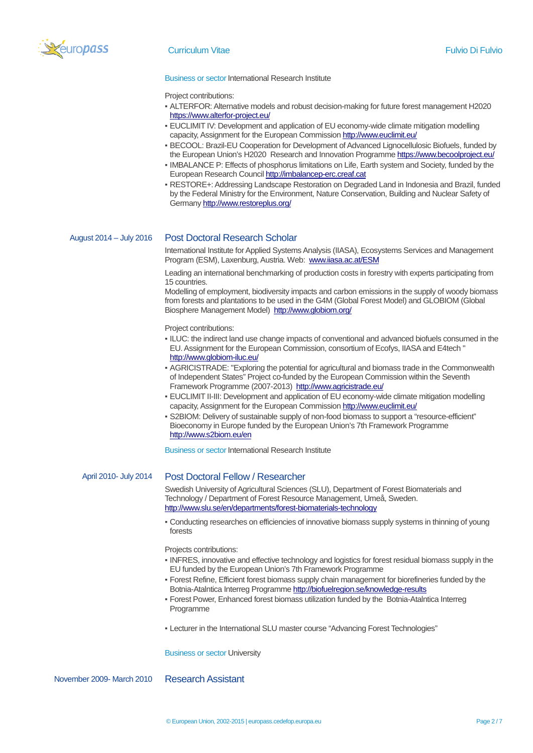

### Curriculum Vitae Fulvio Di Fulvio

#### Business or sector International Research Institute

Project contributions:

- ALTERFOR: Alternative models and robust decision-making for future forest management H2020 <https://www.alterfor-project.eu/>
- EUCLIMIT IV: Development and application of EU economy-wide climate mitigation modelling capacity, Assignment for the European Commissio[n http://www.euclimit.eu/](http://www.euclimit.eu/)
- BECOOL: Brazil-EU Cooperation for Development of Advanced Lignocellulosic Biofuels, funded by the European Union's H2020 Research and Innovation Programm[e https://www.becoolproject.eu/](https://www.becoolproject.eu/)
- IMBALANCE P: Effects of phosphorus limitations on Life, Earth system and Society, funded by the European Research Counci[l http://imbalancep-erc.creaf.cat](http://imbalancep-erc.creaf.cat/)
- RESTORE+: Addressing Landscape Restoration on Degraded Land in Indonesia and Brazil, funded by the Federal Ministry for the Environment, Nature Conservation, Building and Nuclear Safety of German[y http://www.restoreplus.org/](http://www.restoreplus.org/)

### August 2014 – July 2016 Post Doctoral Research Scholar

International Institute for Applied Systems Analysis (IIASA), Ecosystems Services and Management Program (ESM), Laxenburg, Austria. Web: [www.iiasa.ac.at/ESM](http://www.iiasa.ac.at/ESM)

Leading an international benchmarking of production costs in forestry with experts participating from 15 countries.

Modelling of employment, biodiversity impacts and carbon emissions in the supply of woody biomass from forests and plantations to be used in the G4M (Global Forest Model) and GLOBIOM (Global Biosphere Management Model)<http://www.globiom.org/>

Project contributions:

- ILUC: the indirect land use change impacts of conventional and advanced biofuels consumed in the EU. Assignment for the European Commission, consortium of Ecofys, IIASA and E4tech " <http://www.globiom-iluc.eu/>
- AGRICISTRADE: "Exploring the potential for agricultural and biomass trade in the Commonwealth of Independent States" Project co-funded by the European Commission within the Seventh Framework Programme (2007-2013)<http://www.agricistrade.eu/>
- **EUCLIMIT II-III: Development and application of EU economy-wide climate mitigation modelling** capacity, Assignment for the European Commission http://www.euclimit.eu/
- S2BIOM: Delivery of sustainable supply of non-food biomass to support a "resource-efficient" Bioeconomy in Europe funded by the European Union's 7th Framework Programme <http://www.s2biom.eu/en>

Business or sector International Research Institute

### April 2010- July 2014 Post Doctoral Fellow / Researcher

Swedish University of Agricultural Sciences (SLU), Department of Forest Biomaterials and Technology / Department of Forest Resource Management, Umeå, Sweden. <http://www.slu.se/en/departments/forest-biomaterials-technology>

▪ Conducting researches on efficiencies of innovative biomass supply systems in thinning of young forests

Projects contributions:

- INFRES, innovative and effective technology and logistics for forest residual biomass supply in the EU funded by the European Union's 7th Framework Programme
- Forest Refine, Efficient forest biomass supply chain management for biorefineries funded by the Botnia-Atalntica Interreg Programm[e http://biofuelregion.se/knowledge-results](http://biofuelregion.se/knowledge-results)
- Forest Power, Enhanced forest biomass utilization funded by the Botnia-Atalntica Interreg Programme
- Lecturer in the International SLU master course "Advancing Forest Technologies"

Business or sector University

November 2009- March 2010 Research Assistant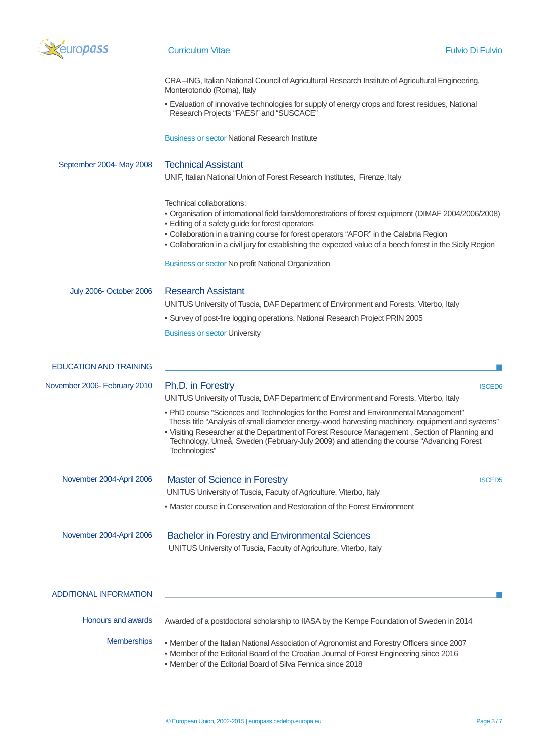

# **Curriculum Vitae Fulvio Di Fulvio Di Fulvio Di Fulvio Di Fulvio Di Fulvio Di Fulvio**

| CRA-ING, Italian National Council of Agricultural Research Institute of Agricultural Engineering, |  |
|---------------------------------------------------------------------------------------------------|--|
| Monterotondo (Roma), Italy                                                                        |  |

▪ Evaluation of innovative technologies for supply of energy crops and forest residues, National Research Projects "FAESI" and "SUSCACE"

Business or sector National Research Institute

| September 2004- May 2008      | <b>Technical Assistant</b><br>UNIF, Italian National Union of Forest Research Institutes, Firenze, Italy                                                                                                                                                                                                                                                                                                                                                                                                                                 |  |
|-------------------------------|------------------------------------------------------------------------------------------------------------------------------------------------------------------------------------------------------------------------------------------------------------------------------------------------------------------------------------------------------------------------------------------------------------------------------------------------------------------------------------------------------------------------------------------|--|
|                               |                                                                                                                                                                                                                                                                                                                                                                                                                                                                                                                                          |  |
|                               | Technical collaborations:<br>Organisation of international field fairs/demonstrations of forest equipment (DIMAF 2004/2006/2008)<br>- Editing of a safety guide for forest operators<br>- Collaboration in a training course for forest operators "AFOR" in the Calabria Region<br>- Collaboration in a civil jury for establishing the expected value of a beech forest in the Sicily Region                                                                                                                                            |  |
|                               | Business or sector No profit National Organization                                                                                                                                                                                                                                                                                                                                                                                                                                                                                       |  |
| July 2006- October 2006       | <b>Research Assistant</b><br>UNITUS University of Tuscia, DAF Department of Environment and Forests, Viterbo, Italy<br>• Survey of post-fire logging operations, National Research Project PRIN 2005<br><b>Business or sector University</b>                                                                                                                                                                                                                                                                                             |  |
| <b>EDUCATION AND TRAINING</b> |                                                                                                                                                                                                                                                                                                                                                                                                                                                                                                                                          |  |
| November 2006- February 2010  | Ph.D. in Forestry<br><b>ISCED6</b><br>UNITUS University of Tuscia, DAF Department of Environment and Forests, Viterbo, Italy<br>. PhD course "Sciences and Technologies for the Forest and Environmental Management"<br>Thesis title "Analysis of small diameter energy-wood harvesting machinery, equipment and systems"<br>- Visiting Researcher at the Department of Forest Resource Management, Section of Planning and<br>Technology, Umeå, Sweden (February-July 2009) and attending the course "Advancing Forest<br>Technologies" |  |
| November 2004-April 2006      | <b>Master of Science in Forestry</b><br><b>ISCED5</b><br>UNITUS University of Tuscia, Faculty of Agriculture, Viterbo, Italy<br>• Master course in Conservation and Restoration of the Forest Environment                                                                                                                                                                                                                                                                                                                                |  |
| November 2004-April 2006      | <b>Bachelor in Forestry and Environmental Sciences</b><br>UNITUS University of Tuscia, Faculty of Agriculture, Viterbo, Italy                                                                                                                                                                                                                                                                                                                                                                                                            |  |
| <b>ADDITIONAL INFORMATION</b> |                                                                                                                                                                                                                                                                                                                                                                                                                                                                                                                                          |  |
| Honours and awards            | Awarded of a postdoctoral scholarship to IIASA by the Kempe Foundation of Sweden in 2014                                                                                                                                                                                                                                                                                                                                                                                                                                                 |  |
| Memberships                   | • Member of the Italian National Association of Agronomist and Forestry Officers since 2007<br>. Member of the Editorial Board of the Croatian Journal of Forest Engineering since 2016<br>• Member of the Editorial Board of Silva Fennica since 2018                                                                                                                                                                                                                                                                                   |  |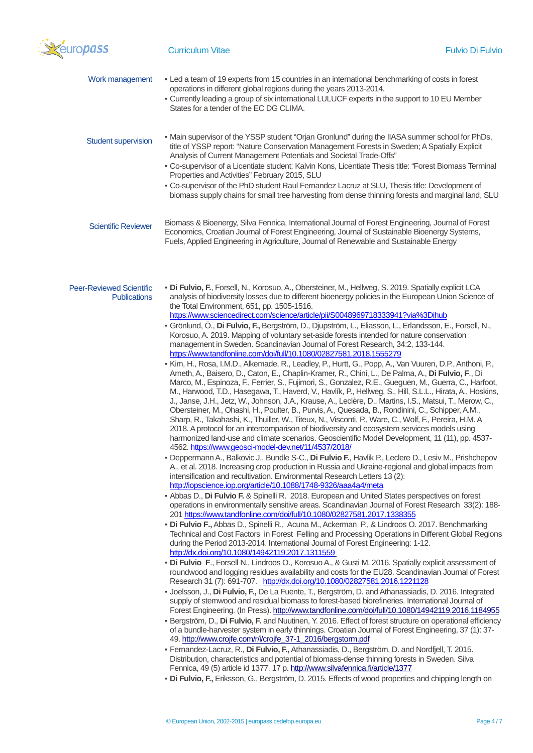

| Work management                                        | - Led a team of 19 experts from 15 countries in an international benchmarking of costs in forest<br>operations in different global regions during the years 2013-2014.<br>- Currently leading a group of six international LULUCF experts in the support to 10 EU Member<br>States for a tender of the EC DG CLIMA.                                                                                                                                                                                                                                                                                                                                                                                                                                                                                                                                                                                                                                                                                                                                                                                                                                                                                                                                                                                                                                                                                                                                                                                                                                                                                                                                                                                                                                                                                                                                                                                                                                                                                                                                                                                                                                                                                                                                                                                                                                                                                                                                                                                                                                                                                                                                                                                                                                                                                                                                                                                                                                                                                                                                                                                                                                                                                                                                                                                                                                                                                                                                                                                                                                                                                                                                                                                                                                                                                                                                                                                                                                                                                                                    |
|--------------------------------------------------------|----------------------------------------------------------------------------------------------------------------------------------------------------------------------------------------------------------------------------------------------------------------------------------------------------------------------------------------------------------------------------------------------------------------------------------------------------------------------------------------------------------------------------------------------------------------------------------------------------------------------------------------------------------------------------------------------------------------------------------------------------------------------------------------------------------------------------------------------------------------------------------------------------------------------------------------------------------------------------------------------------------------------------------------------------------------------------------------------------------------------------------------------------------------------------------------------------------------------------------------------------------------------------------------------------------------------------------------------------------------------------------------------------------------------------------------------------------------------------------------------------------------------------------------------------------------------------------------------------------------------------------------------------------------------------------------------------------------------------------------------------------------------------------------------------------------------------------------------------------------------------------------------------------------------------------------------------------------------------------------------------------------------------------------------------------------------------------------------------------------------------------------------------------------------------------------------------------------------------------------------------------------------------------------------------------------------------------------------------------------------------------------------------------------------------------------------------------------------------------------------------------------------------------------------------------------------------------------------------------------------------------------------------------------------------------------------------------------------------------------------------------------------------------------------------------------------------------------------------------------------------------------------------------------------------------------------------------------------------------------------------------------------------------------------------------------------------------------------------------------------------------------------------------------------------------------------------------------------------------------------------------------------------------------------------------------------------------------------------------------------------------------------------------------------------------------------------------------------------------------------------------------------------------------------------------------------------------------------------------------------------------------------------------------------------------------------------------------------------------------------------------------------------------------------------------------------------------------------------------------------------------------------------------------------------------------------------------------------------------------------------------------------------------------|
| <b>Student supervision</b>                             | . Main supervisor of the YSSP student "Orjan Gronlund" during the IIASA summer school for PhDs,<br>title of YSSP report: "Nature Conservation Management Forests in Sweden; A Spatially Explicit<br>Analysis of Current Management Potentials and Societal Trade-Offs"<br>- Co-supervisor of a Licentiate student: Kalvin Kons, Licentiate Thesis title: "Forest Biomass Terminal<br>Properties and Activities" February 2015, SLU<br>. Co-supervisor of the PhD student Raul Fernandez Lacruz at SLU, Thesis title: Development of<br>biomass supply chains for small tree harvesting from dense thinning forests and marginal land, SLU                                                                                                                                                                                                                                                                                                                                                                                                                                                                                                                                                                                                                                                                                                                                                                                                                                                                                                                                                                                                                                                                                                                                                                                                                                                                                                                                                                                                                                                                                                                                                                                                                                                                                                                                                                                                                                                                                                                                                                                                                                                                                                                                                                                                                                                                                                                                                                                                                                                                                                                                                                                                                                                                                                                                                                                                                                                                                                                                                                                                                                                                                                                                                                                                                                                                                                                                                                                              |
| <b>Scientific Reviewer</b>                             | Biomass & Bioenergy, Silva Fennica, International Journal of Forest Engineering, Journal of Forest<br>Economics, Croatian Journal of Forest Engineering, Journal of Sustainable Bioenergy Systems,<br>Fuels, Applied Engineering in Agriculture, Journal of Renewable and Sustainable Energy                                                                                                                                                                                                                                                                                                                                                                                                                                                                                                                                                                                                                                                                                                                                                                                                                                                                                                                                                                                                                                                                                                                                                                                                                                                                                                                                                                                                                                                                                                                                                                                                                                                                                                                                                                                                                                                                                                                                                                                                                                                                                                                                                                                                                                                                                                                                                                                                                                                                                                                                                                                                                                                                                                                                                                                                                                                                                                                                                                                                                                                                                                                                                                                                                                                                                                                                                                                                                                                                                                                                                                                                                                                                                                                                           |
| <b>Peer-Reviewed Scientific</b><br><b>Publications</b> | · Di Fulvio, F., Forsell, N., Korosuo, A., Obersteiner, M., Hellweg, S. 2019. Spatially explicit LCA<br>analysis of biodiversity losses due to different bioenergy policies in the European Union Science of<br>the Total Environment, 651, pp. 1505-1516.<br>https://www.sciencedirect.com/science/article/pii/S0048969718333941?via%3Dihub<br>- Grönlund, Ö., Di Fulvio, F., Bergström, D., Djupström, L., Eliasson, L., Erlandsson, E., Forsell, N.,<br>Korosuo, A. 2019. Mapping of voluntary set-aside forests intended for nature conservation<br>management in Sweden. Scandinavian Journal of Forest Research, 34:2, 133-144.<br>https://www.tandfonline.com/doi/full/10.1080/02827581.2018.1555279<br>- Kim, H., Rosa, I.M.D., Alkemade, R., Leadley, P., Hurtt, G., Popp, A., Van Vuuren, D.P., Anthoni, P.,<br>Arneth, A., Baisero, D., Caton, E., Chaplin-Kramer, R., Chini, L., De Palma, A., Di Fulvio, F., Di<br>Marco, M., Espinoza, F., Ferrier, S., Fujimori, S., Gonzalez, R.E., Gueguen, M., Guerra, C., Harfoot,<br>M., Harwood, T.D., Hasegawa, T., Haverd, V., Havlík, P., Hellweg, S., Hill, S.L.L., Hirata, A., Hoskins,<br>J., Janse, J.H., Jetz, W., Johnson, J.A., Krause, A., Leclère, D., Martins, I.S., Matsui, T., Merow, C.,<br>Obersteiner, M., Ohashi, H., Poulter, B., Purvis, A., Quesada, B., Rondinini, C., Schipper, A.M.,<br>Sharp, R., Takahashi, K., Thuiller, W., Titeux, N., Visconti, P., Ware, C., Wolf, F., Pereira, H.M. A<br>2018. A protocol for an intercomparison of biodiversity and ecosystem services models using<br>harmonized land-use and climate scenarios. Geoscientific Model Development, 11 (11), pp. 4537-<br>4562. https://www.geosci-model-dev.net/11/4537/2018/<br>· Deppermann A., Balkovic J., Bundle S-C., Di Fulvio F., Havlik P., Leclere D., Lesiv M., Prishchepov<br>A., et al. 2018. Increasing crop production in Russia and Ukraine-regional and global impacts from<br>intensification and recultivation. Environmental Research Letters 13 (2):<br>http://iopscience.iop.org/article/10.1088/1748-9326/aaa4a4/meta<br>- Abbas D., Di Fulvio F. & Spinelli R. 2018. European and United States perspectives on forest<br>operations in environmentally sensitive areas. Scandinavian Journal of Forest Research 33(2): 188-<br>201 https://www.tandfonline.com/doi/full/10.1080/02827581.2017.1338355<br>· Di Fulvio F., Abbas D., Spinelli R., Acuna M., Ackerman P., & Lindroos O. 2017. Benchmarking<br>Technical and Cost Factors in Forest Felling and Processing Operations in Different Global Regions<br>during the Period 2013-2014. International Journal of Forest Engineering: 1-12.<br>http://dx.doi.org/10.1080/14942119.2017.1311559<br>· Di Fulvio F., Forsell N., Lindroos O., Korosuo A., & Gusti M. 2016. Spatially explicit assessment of<br>roundwood and logging residues availability and costs for the EU28. Scandinavian Journal of Forest<br>Research 31 (7): 691-707. http://dx.doi.org/10.1080/02827581.2016.1221128<br>- Joelsson, J., Di Fulvio, F., De La Fuente, T., Bergström, D. and Athanassiadis, D. 2016. Integrated<br>supply of stemwood and residual biomass to forest-based biorefineries. International Journal of<br>Forest Engineering. (In Press). http://www.tandfonline.com/doi/full/10.1080/14942119.2016.1184955<br>- Bergström, D., Di Fulvio, F. and Nuutinen, Y. 2016. Effect of forest structure on operational efficiency<br>of a bundle-harvester system in early thinnings. Croatian Journal of Forest Engineering, 37 (1): 37-<br>49. http://www.crojfe.com/r/i/crojfe 37-1 2016/bergstorm.pdf<br>- Fernandez-Lacruz, R., Di Fulvio, F., Athanassiadis, D., Bergström, D. and Nordfjell, T. 2015.<br>Distribution, characteristics and potential of biomass-dense thinning forests in Sweden. Silva<br>Fennica, 49 (5) article id 1377. 17 p. http://www.silvafennica.fi/article/1377<br>- Di Fulvio, F., Eriksson, G., Bergström, D. 2015. Effects of wood properties and chipping length on |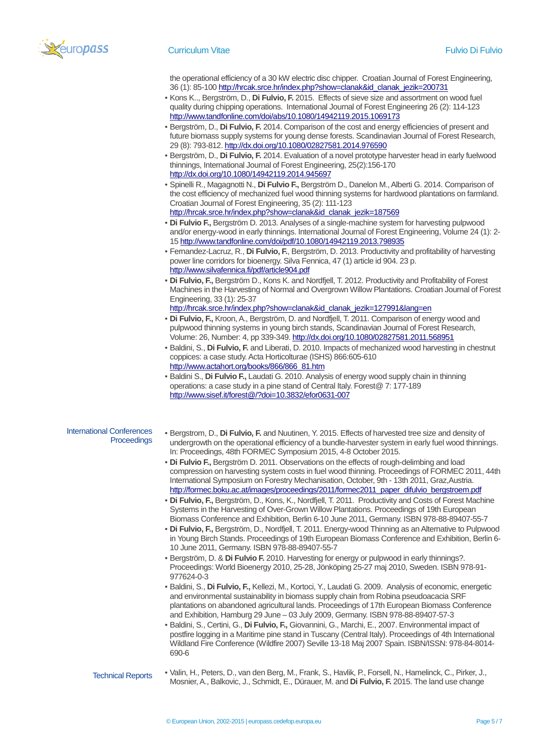

the operational efficiency of a 30 kW electric disc chipper. Croatian Journal of Forest Engineering, 36 (1): 85-10[0 http://hrcak.srce.hr/index.php?show=clanak&id\\_clanak\\_jezik=200731](http://hrcak.srce.hr/index.php?show=clanak&id_clanak_jezik=200731)

- Kons K.., Bergström, D., **Di Fulvio, F.** 2015. Effects of sieve size and assortment on wood fuel quality during chipping operations. International Journal of Forest Engineering 26 (2): 114-123 <http://www.tandfonline.com/doi/abs/10.1080/14942119.2015.1069173>
- Bergström, D., **Di Fulvio, F.** 2014. Comparison of the cost and energy efficiencies of present and future biomass supply systems for young dense forests. Scandinavian Journal of Forest Research, 29 (8): 793-812[. http://dx.doi.org/10.1080/02827581.2014.976590](http://dx.doi.org/10.1080/02827581.2014.976590)
- Bergström, D., **Di Fulvio, F.** 2014. Evaluation of a novel prototype harvester head in early fuelwood thinnings, International Journal of Forest Engineering, 25(2):156-170 <http://dx.doi.org/10.1080/14942119.2014.945697>
- Spinelli R., Magagnotti N., **Di Fulvio F.,** Bergström D., Danelon M., Alberti G. 2014. Comparison of the cost efficiency of mechanized fuel wood thinning systems for hardwood plantations on farmland. Croatian Journal of Forest Engineering, 35 (2): 111-123 http://hrcak.srce.hr/index.php?show=clanak&id\_clanak\_jezik=187569
- **Di Fulvio F.,** Bergström D. 2013. Analyses of a single-machine system for harvesting pulpwood and/or energy-wood in early thinnings. International Journal of Forest Engineering, Volume 24 (1): 2- 1[5 http://www.tandfonline.com/doi/pdf/10.1080/14942119.2013.798935](http://www.tandfonline.com/doi/pdf/10.1080/14942119.2013.798935)
- Fernandez-Lacruz, R., **Di Fulvio, F.**, Bergström, D. 2013. Productivity and profitability of harvesting power line corridors for bioenergy. Silva Fennica, 47 (1) article id 904. 23 p. <http://www.silvafennica.fi/pdf/article904.pdf>
- **Di Fulvio, F.,** Bergström D., Kons K. and Nordfjell, T. 2012. Productivity and Profitability of Forest Machines in the Harvesting of Normal and Overgrown Willow Plantations. Croatian Journal of Forest Engineering, 33 (1): 25-37 [http://hrcak.srce.hr/index.php?show=clanak&id\\_clanak\\_jezik=127991&lang=en](http://hrcak.srce.hr/index.php?show=clanak&id_clanak_jezik=127991&lang=en)
- **Di Fulvio, F.,** Kroon, A., Bergström, D. and Nordfjell, T. 2011. Comparison of energy wood and pulpwood thinning systems in young birch stands, Scandinavian Journal of Forest Research, Volume: 26, Number: 4, pp 339-349.<http://dx.doi.org/10.1080/02827581.2011.568951>
- Baldini, S., **Di Fulvio, F.** and Liberati, D. 2010. Impacts of mechanized wood harvesting in chestnut coppices: a case study. Acta Horticolturae (ISHS) 866:605-610 [http://www.actahort.org/books/866/866\\_81.htm](http://www.actahort.org/books/866/866_81.htm)
- **Baldini S., Di Fulvio F., Laudati G. 2010. Analysis of energy wood supply chain in thinning** operations: a case study in a pine stand of Central Italy. Forest@ 7: 177-189 <http://www.sisef.it/forest@/?doi=10.3832/efor0631-007>
- International Conferences **Proceedings**
- Bergstrom, D., **Di Fulvio, F.** and Nuutinen, Y. 2015. Effects of harvested tree size and density of undergrowth on the operational efficiency of a bundle-harvester system in early fuel wood thinnings. In: Proceedings, 48th FORMEC Symposium 2015, 4-8 October 2015.
- **Di Fulvio F.,** Bergström D. 2011. Observations on the effects of rough-delimbing and load compression on harvesting system costs in fuel wood thinning. Proceedings of FORMEC 2011, 44th International Symposium on Forestry Mechanisation, October, 9th - 13th 2011, Graz,Austria. [http://formec.boku.ac.at/images/proceedings/2011/formec2011\\_paper\\_difulvio\\_bergstroem.pdf](http://formec.boku.ac.at/images/proceedings/2011/formec2011_paper_difulvio_bergstroem.pdf)
- **Di Fulvio, F.,** Bergström, D., Kons, K., Nordfjell, T. 2011. Productivity and Costs of Forest Machine Systems in the Harvesting of Over-Grown Willow Plantations. Proceedings of 19th European Biomass Conference and Exhibition, Berlin 6-10 June 2011, Germany. ISBN 978-88-89407-55-7
- **Di Fulvio, F.,** Bergström, D., Nordfjell, T. 2011. Energy-wood Thinning as an Alternative to Pulpwood in Young Birch Stands. Proceedings of 19th European Biomass Conference and Exhibition, Berlin 6- 10 June 2011, Germany. ISBN 978-88-89407-55-7
- Bergström, D. & **Di Fulvio F.** 2010. Harvesting for energy or pulpwood in early thinnings?. Proceedings: World Bioenergy 2010, 25-28, Jönköping 25-27 maj 2010, Sweden. ISBN 978-91- 977624-0-3
- Baldini, S., **Di Fulvio, F.,** Kellezi, M., Kortoci, Y., Laudati G. 2009. Analysis of economic, energetic and environmental sustainability in biomass supply chain from Robina pseudoacacia SRF plantations on abandoned agricultural lands. Proceedings of 17th European Biomass Conference and Exhibition, Hamburg 29 June – 03 July 2009, Germany. ISBN 978-88-89407-57-3
- Baldini, S., Certini, G., **Di Fulvio, F.,** Giovannini, G., Marchi, E., 2007. Environmental impact of postfire logging in a Maritime pine stand in Tuscany (Central Italy). Proceedings of 4th International Wildland Fire Conference (Wildfire 2007) Seville 13-18 Maj 2007 Spain. ISBN/ISSN: 978-84-8014- 690-6
- Technical Reports ▪ Valin, H., Peters, D., van den Berg, M., Frank, S., Havlik, P., Forsell, N., Hamelinck, C., Pirker, J., Mosnier, A., Balkovic, J., Schmidt, E., Dürauer, M. and **Di Fulvio, F.** 2015. The land use change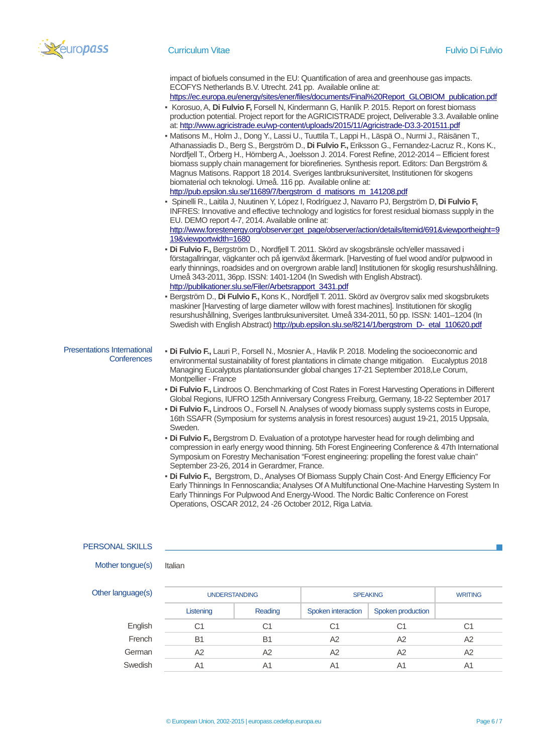

#### Curriculum Vitae Fulvio Di Fulvio

impact of biofuels consumed in the EU: Quantification of area and greenhouse gas impacts. ECOFYS Netherlands B.V. Utrecht. 241 pp. Available online at:

[https://ec.europa.eu/energy/sites/ener/files/documents/Final%20Report\\_GLOBIOM\\_publication.pdf](https://ec.europa.eu/energy/sites/ener/files/documents/Final%20Report_GLOBIOM_publication.pdf) ▪ Korosuo, A, **Di Fulvio F,** Forsell N, Kindermann G, Hanlík P. 2015. Report on forest biomass

- production potential. Project report for the AGRICISTRADE project, Deliverable 3.3. Available online at[: http://www.agricistrade.eu/wp-content/uploads/2015/11/Agricistrade-D3.3-201511.pdf](http://www.agricistrade.eu/wp-content/uploads/2015/11/Agricistrade-D3.3-201511.pdf)
- Matisons M., Holm J., Dong Y., Lassi U., Tuuttila T., Lappi H., Läspä O., Nurmi J., Räisänen T., Athanassiadis D., Berg S., Bergström D., **Di Fulvio F.,** Eriksson G., Fernandez-Lacruz R., Kons K., Nordfjell T., Örberg H., Hörnberg A., Joelsson J. 2014. Forest Refine, 2012-2014 – Efficient forest biomass supply chain management for biorefineries. Synthesis report. Editors: Dan Bergström & Magnus Matisons. Rapport 18 2014. Sveriges lantbruksuniversitet, Institutionen för skogens biomaterial och teknologi. Umeå. 116 pp. Available online at:
- [http://pub.epsilon.slu.se/11689/7/bergstrom\\_d\\_matisons\\_m\\_141208.pdf](http://pub.epsilon.slu.se/11689/7/bergstrom_d_matisons_m_141208.pdf) ▪ Spinelli R., Laitila J, Nuutinen Y, López I, Rodríguez J, Navarro PJ, Bergström D, **Di Fulvio F,** INFRES: Innovative and effective technology and logistics for forest residual biomass supply in the EU. DEMO report 4-7, 2014. Available online at:

[http://www.forestenergy.org/observer:get\\_page/observer/action/details/itemid/691&viewportheight=9](http://www.forestenergy.org/observer:get_page/observer/action/details/itemid/691&viewportheight=919&viewportwidth=1680) [19&viewportwidth=1680](http://www.forestenergy.org/observer:get_page/observer/action/details/itemid/691&viewportheight=919&viewportwidth=1680)

- **Di Fulvio F.,** Bergström D., Nordfjell T. 2011. Skörd av skogsbränsle och/eller massaved i förstagallringar, vägkanter och på igenväxt åkermark. [Harvesting of fuel wood and/or pulpwood in early thinnings, roadsides and on overgrown arable land] Institutionen för skoglig resurshushållning. Umeå 343-2011, 36pp. ISSN: 1401-1204 (In Swedish with English Abstract). [http://publikationer.slu.se/Filer/Arbetsrapport\\_3431.pdf](http://publikationer.slu.se/Filer/Arbetsrapport_3431.pdf)
- Bergström D., **Di Fulvio F.,** Kons K., Nordfjell T. 2011. Skörd av övergrov salix med skogsbrukets maskiner [Harvesting of large diameter willow with forest machines]. Institutionen för skoglig resurshushållning, Sveriges lantbruksuniversitet. Umeå 334-2011, 50 pp. ISSN: 1401–1204 (In Swedish with English Abstract[\) http://pub.epsilon.slu.se/8214/1/bergstrom\\_D-\\_etal\\_110620.pdf](http://pub.epsilon.slu.se/8214/1/bergstrom_D-_etal_110620.pdf)

#### Presentations International **Conferences**

- **Di Fulvio F.,** Lauri P., Forsell N., Mosnier A., Havlik P. 2018. Modeling the socioeconomic and environmental sustainability of forest plantations in climate change mitigation. Eucalyptus 2018 Managing Eucalyptus plantationsunder global changes 17-21 September 2018,Le Corum, Montpellier - France
	- **Di Fulvio F.,** Lindroos O. Benchmarking of Cost Rates in Forest Harvesting Operations in Different Global Regions, IUFRO 125th Anniversary Congress Freiburg, Germany, 18-22 September 2017
	- **Di Fulvio F.,** Lindroos O., Forsell N. Analyses of woody biomass supply systems costs in Europe, 16th SSAFR (Symposium for systems analysis in forest resources) august 19-21, 2015 Uppsala, Sweden.
	- **Di Fulvio F.,** Bergstrom D. Evaluation of a prototype harvester head for rough delimbing and compression in early energy wood thinning. 5th Forest Engineering Conference & 47th International Symposium on Forestry Mechanisation "Forest engineering: propelling the forest value chain" September 23-26, 2014 in Gerardmer, France.
	- **Di Fulvio F.,** Bergstrom, D., Analyses Of Biomass Supply Chain Cost-And Energy Efficiency For Early Thinnings In Fennoscandia; Analyses Of A Multifunctional One-Machine Harvesting System In Early Thinnings For Pulpwood And Energy-Wood. The Nordic Baltic Conference on Forest Operations, OSCAR 2012, 24 -26 October 2012, Riga Latvia.

### PERSONAL SKILLS

```
Mother tongue(s) Italian
```
Other language(s) The LINDERSTANDING SPEAKING SPEAKING WRITING Listening Reading Spoken interaction Spoken production English C1 C1 C1 C1 C1 French B1 B1 A2 A2 A2 German A2 A2 A2 A2 A2 Swedish A1 A1 A1 A1 A1